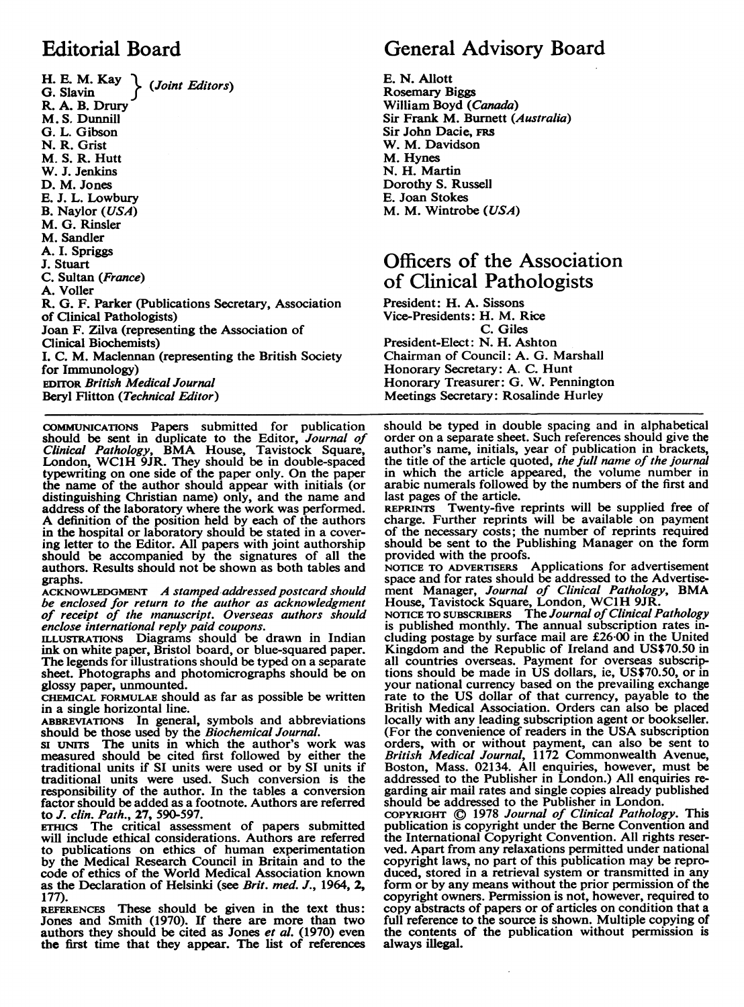H. E. M. Kay  $\left\{\right.$  (Joint Editors) R. A. B. Drury M. S. Dunnill G. L. Gibson N. R. Grist M. S. R. Hutt W. J. Jenkins D. M. Jones E. J. L. Lowbury B. Naylor (USA) M. G. Rinsler M. Sandler A. I. Spriggs J. Stuart C. Sultan (France) A. Voller R. G. F. Parker (Publications Secretary, Association of Clinical Pathologists) Joan F. Zilva (representing the Association of Clinical Biochemists) I. C. M. Maclennan (representing the British Society for Immunology) EDITOR British Medical Journal Beryl Flitton (Technical Editor)

COMMUNICATIONS Papers submitted for publication should be sent in duplicate to the Editor, *Journal of Clinical Pathology*, BMA House, Tavistock Square, London, WC1H 9JR. They should be in double-spaced typewriting on one side of the paper only. On the paper the name of the author should appear with initials (or distinguishing Christian name) only, and the name and address of the laboratory where the work was performed. A definition of the position held by each of the authors in the hospital or laboratory should be stated in a covering letter to the Editor. All papers with joint authorship should be accompanied by the signatures of all the authors. Results should not be shown as both tables and graphs.

ACKNOWLEDGMENT A stamped addressed postcard should be enclosed for return to the author as acknowledgment of receipt of the manuscript. Overseas authors should

enclose international reply paid coupons. ILLUSTRATIONS Diagrams should be drawn in Indian ink on white paper, Bristol board, or blue-squared paper. The legends for illustrations should be typed on a separate sheet. Photographs and photomicrographs should be on glossy paper, unmounted.

CHEMICAL FORMULAE should as far as possible be written in a single horizontal line.

ABBREVIATIONS In general, symbols and abbreviations

should be those used by the *Biochemical Journal*.<br>SI UNITS The units in which the author's work was measured should be cited first followed by either the traditional units if SI units were used or by SI units if traditional units were used. Such conversion is the responsibility of the author. In the tables a conversion factor should be added as a footnote. Authors are referred to J. clin. Path., 27, 590-597.

ETHICS The critical assessment of papers submitted will include ethical considerations. Authors are referred to publications on ethics of human experimentation by the Medical Research Council in Britain and to the code of ethics of the World Medical Association known as the Declaration of Helsinki (see Brit. med. J., 1964, 2, 177).

REFERENCES These should be given in the text thus: Jones and Smith (1970). If there are more than two authors they should be cited as Jones et al. (1970) even the first time that they appear. The list of references

## Editorial Board General Advisory Board

E. N. Allott Rosemary Biggs William Boyd (Canada) Sir Frank M. Burnett (Australia) Sir John Dacie, FRS W. M. Davidson M. Hynes N. H. Martin Dorothy S. Russell E. Joan Stokes M. M. Wintrobe (USA)

### Officers of the Association of Clinical Pathologists

President: H. A. Sissons Vice-Presidents: H. M. Rice C. Giles President-Elect: N. H. Ashton Chairman of Council: A. G. Marshall Honorary Secretary: A. C. Hunt Honorary Treasurer: G. W. Pennington Meetings Secretary: Rosalinde Hurley

should be typed in double spacing and in alphabetical order on a separate sheet. Such references should give the author's name, initials, year of publication in brackets, the title of the article quoted, the full name of the journal in which the article appeared, the volume number in arabic numerals followed by the numbers of the first and last pages of the article.

REPRINrS Twenty-five reprints will be supplied free of charge. Further reprints will be available on payment of the necessary costs; the number of reprints required should be sent to the Publishing Manager on the form provided with the proofs.

provided with the proofs. NOTICE TO ADVERTISERS Applications for advertisement space and for rates should be addressed to the Advertisement Manager, Journal of Clinical Pathology, BMA

House, Tavistock Square, London, WC1H 9JR.<br>NOTICE TO SUBSCRIBERS The Journal of Clinical Pathology<br>is published monthly. The annual subscription rates including postage by surface mail are £26-00 in the United Kingdom and the Republic of Ireland and US\$70.50 in all countries overseas. Payment for overseas subscriptions should be made in US dollars, ie, US\$70.50, or in your national currency based on the prevailing exchange rate to the US dollar of that currency, payable to the British Medical Association. Orders can also be placed locally with any leading subscription agent or bookseller. (For the convenience of readers in the USA subscription orders, with or without payment, can also be sent to British Medical Journal, 1172 Commonwealth Avenue, Boston, Mass. 02134. All enquiries, however, must be addressed to the Publisher in London.) All enquiries regarding air mail rates and single copies already published should be addressed to the Publisher in London.

copyright © 1978 *Journal of Clinical Pathology*. This publication is copyright under the Berne Convention and the International Copyright Convention. All rights reserved. Apart from any relaxations permitted under national copyright laws, no part of this publication may be reproduced, stored in a retrieval system or transmitted in any form or by any means without the prior permission of the copyright owners. Permission is not, however, required to copy abstracts of papers or of articles on condition that a full reference to the source is shown. Multiple copying of the contents of the publication without permission is always illegal.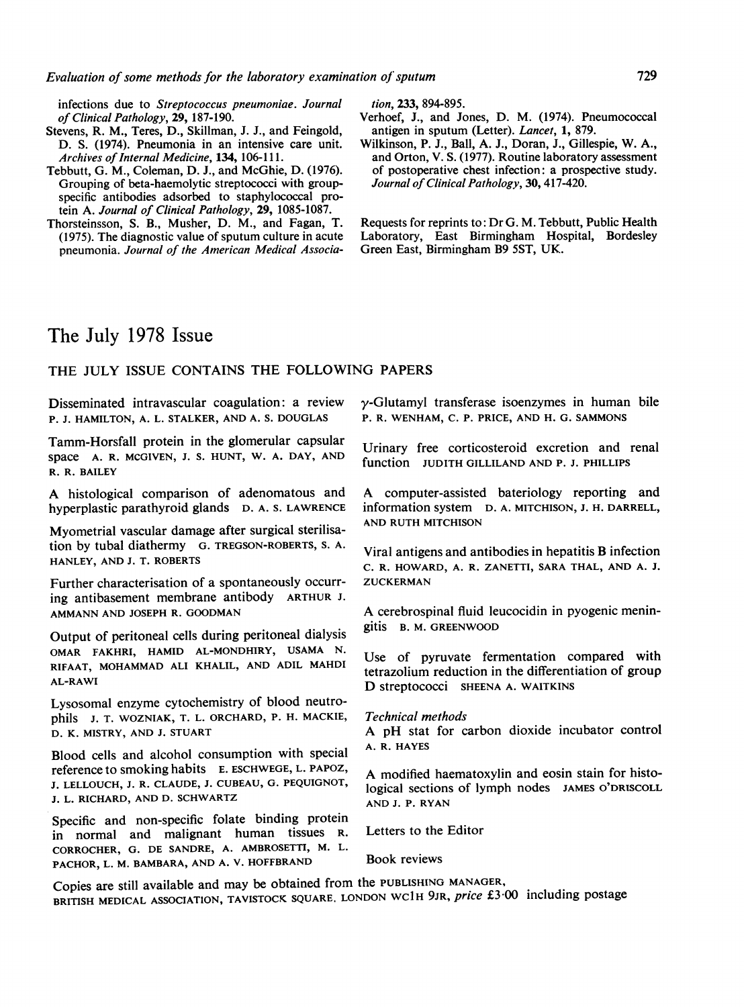infections due to Streptococcus pneumoniae. Journal of Clinical Pathology, 29, 187-190.

- Stevens, R. M., Teres, D., Skillman, J. J., and Feingold, D. S. (1974). Pneumonia in an intensive care unit. Archives of Internal Medicine, 134, 106-111.
- Tebbutt, G. M., Coleman, D. J., and McGhie, D. (1976). Grouping of beta-haemolytic streptococci with groupspecific antibodies adsorbed to staphylococcal protein A. Journal of Clinical Pathology, 29, 1085-1087.
- Thorsteinsson, S. B., Musher, D. M., and Fagan, T. (1975). The diagnostic value of sputum culture in acute pneumonia. Journal of the American Medical Associa-

tion, 233, 894-895.

- Verhoef, J., and Jones, D. M. (1974). Pneumococcal antigen in sputum (Letter). Lancet, 1, 879.
- Wilkinson, P. J., Ball, A. J., Doran, J., Gillespie, W. A., and Orton, V. S. (1977). Routine laboratory assessment of postoperative chest infection: a prospective study. Journal of Clinical Pathology, 30, 417-420.

Requests for reprints to: Dr G. M. Tebbutt, Public Health Laboratory, East Birmingham Hospital, Bordesley Green East, Birmingham B9 5ST, UK.

### The July 1978 Issue

#### THE JULY ISSUE CONTAINS THE FOLLOWING PAPERS

Disseminated intravascular coagulation: a review P. J. HAMILTON, A. L. STALKER, AND A. S. DOUGLAS

Tamm-Horsfall protein in the glomerular capsular space A. R. MCGIVEN, J. S. HUNT, W. A. DAY, AND R. R. BAILEY

A histological comparison of adenomatous and hyperplastic parathyroid glands D. A. S. LAWRENCE

Myometrial vascular damage after surgical sterilisation by tubal diathermy G. TREGSON-ROBERTS, S. A. HANLEY, AND J. T. ROBERTS

Further characterisation of a spontaneously occurring antibasement membrane antibody ARTHUR J. AMMANN AND JOSEPH R. GOODMAN

Output of peritoneal cells during peritoneal dialysis OMAR FAKHRI, HAMID AL-MONDHIRY, USAMA N. RIFAAT, MOHAMMAD ALI KHALIL, AND ADIL MAHDI AL-RAWI

Lysosomal enzyme cytochemistry of blood neutrophils J. T. WOZNIAK, T. L. ORCHARD, P. H. MACKIE, D. K. MISTRY, AND J. STUART

Blood cells and alcohol consumption with special reference to smoking habits E. ESCHWEGE, L. PAPOZ, J. LELLOUCH, J. R. CLAUDE, J. CUBEAU, G. PEQUIGNOT, J. L. RICHARD, AND D. SCHWARTZ

Specific and non-specific folate binding protein in normal and malignant human tissues R. CORROCHER, G. DE SANDRE, A. AMBROSETTI, M. L. PACHOR, L. M. BAMBARA, AND A. V. HOFFBRAND

 $\gamma$ -Glutamyl transferase isoenzymes in human bile P. R. WENHAM, C. P. PRICE, AND H. G. SAMMONS

Urinary free corticosteroid excretion and renal function JUDITH GILLILAND AND P. J. PHILLIPS

A computer-assisted bateriology reporting and information system D. A. MITCHISON, J. H. DARRELL, AND RUTH MITCHISON

Viral antigens and antibodies in hepatitis B infection C. R. HOWARD, A. R. ZANETTI, SARA THAL, AND A. J. **ZUCKERMAN** 

A cerebrospinal fluid leucocidin in pyogenic meningitis B. M. GREENWOOD

Use of pyruvate fermentation compared with tetrazolium reduction in the differentiation of group D streptococci SHEENA A. WAITKINS

#### Technical methods

A pH stat for carbon dioxide incubator control A. R. HAYES

A modified haematoxylin and eosin stain for histological sections of lymph nodes JAMES O'DRISCOLL AND J. P. RYAN

Letters to the Editor

Book reviews

Copies are still available and may be obtained from the PUBLISHING MANAGER, BRITISH MEDICAL ASSOCIATION, TAVISTOCK SQUARE, LONDON WC1H 9JR, price £3.00 including postage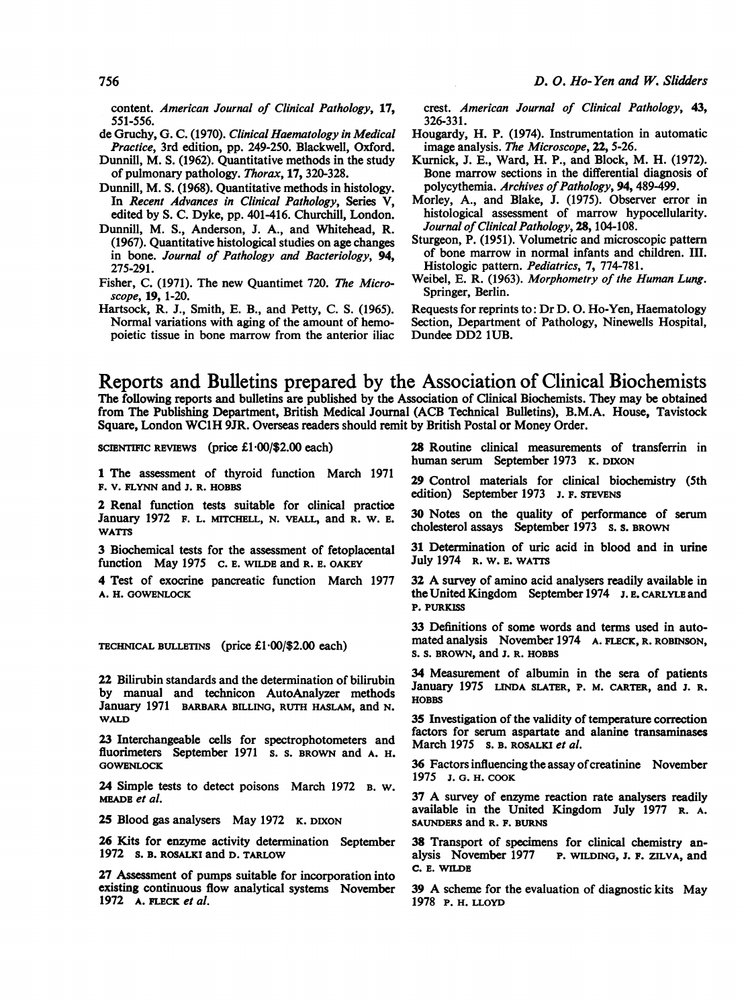content. American Journal of Clinical Pathology, 17, 551-556.

- de Gruchy, G. C. (1970). Clinical Haematology in Medical Practice, 3rd edition, pp. 249-250. Blackwell, Oxford.
- Dunnill, M. S. (1962). Quantitative methods in the study of pulmonary pathology. Thorax, 17, 320-328.
- Dunnill, M. S. (1968). Quantitative methods in histology. In Recent Advances in Clinical Pathology, Series V, edited by S. C. Dyke, pp. 401-416. Churchill, London.
- Dunnill, M. S., Anderson, J. A., and Whitehead, R. (1967). Quantitative histological studies on age changes in bone. Journal of Pathology and Bacteriology, 94, 275-291.
- Fisher, C. (1971). The new Quantimet 720. The Microscope, 19, 1-20.
- Hartsock, R. J., Smith, E. B., and Petty, C. S. (1965). Normal variations with aging of the amount of hemopoietic tissue in bone marrow from the anterior iliac

crest. American Journal of Clinical Pathology, 43, 326-331.

- Hougardy, H. P. (1974). Instrumentation in automatic image analysis. The Microscope, 22, 5-26.
- Kurnick, J. E., Ward, H. P., and Block, M. H. (1972). Bone marrow sections in the differential diagnosis of polycythemia. Archives of Pathology, 94, 489-499.
- Morley, A., and Blake, J. (1975). Observer error in histological assessment of marrow hypocellularity. Journal of Clinical Pathology, 28, 104-108.
- Sturgeon, P. (1951). Volumetric and microscopic pattem of bone marrow in normal infants and children. III. Histologic pattern. Pediatrics, 7, 774-781.
- Weibel, E. R. (1963). Morphometry of the Human Lung. Springer, Berlin.

Requests for reprints to: Dr D. 0. Ho-Yen, Haematology Section, Department of Pathology, Ninewells Hospital, Dundee DD2 lUB.

Reports and Bulletins prepared by the Association of Clinical Biochemists The following reports and bulletins are published by the Association of Clinical Biochemists. They may be obtained from The Publishing Department, British Medical Journal (ACB Technical Bulletins), B.M.A. House, Tavistock Square, London WC1H 9JR. Overseas readers should remit by British Postal or Money Order.

SCIENTIFIC REVIEWS (price  $£1 \cdot 00$ /\$2.00 each)

1 The assessment of thyroid function March 1971 F. V. FLYNN and J. R. HOBBS

2 Renal function tests suitable for clinical practice January 1972 F. L. MITCHELL, N. VEALL, and R. W. E. WATTS

3 Biochemical tests for the assessment of fetoplacental function May 1975 c. E. WILDE and R. E. OAKEY

4 Test of exocrine pancreatic function March 1977 A. H. GOWENLOCK

TECHNICAL BULLETINS (price  $£1 \cdot 00/\$2.00$  each)

22 Bilirubin standards and the determination of bilirubin by manual and technicon AutoAnalyzer methods January 1971 BARBARA BILLING, RUTH HASLAM, and N. WALD

23 Interchangeable cells for spectrophotometers and fluorimeters September 1971 s. s. BROWN and A. H. **GOWENLOCK** 

24 Simple tests to detect poisons March 1972 B. W. MEADE et al.

25 Blood gas analysers May 1972 K. DIXON

26 Kits for enzyme activity determination September 1972 S. B. ROSALKI and D. TARLOW

27 Assessment of pumps suitable for incorporation into existing continuous flow analytical systems November 1972 A. FLECK et al.

28 Routine clinical measurements of transferrin in human serum September 1973 K. DIXON

29 Control materials for clinical biochemistry (5th edition) September 1973 J. F. STEVENS

30 Notes on the quality of performance of serum cholesterol assays September 1973 s. s. BROWN

31 Determination of uric acid in blood and in urine July 1974 R. W. E. WATTS

<sup>32</sup> A survey of amino acid analysers readily available in the United Kingdom September 1974 **J. E.** CARLYLE and P. PURKISS

33 Definitions of some words and terms used in automated analysis November 1974 A. FLECK, R. ROBINSON, S. S. BROWN, and J. R. HOBBS

34 Measurement of albumin in the sera of patients January 1975 LINDA SLATER, P. M. CARTER, and J. R. **HOBBS** 

35 Investigation of the validity of temperature correction factors for serum aspartate and alanine transaminases March 1975 s. B. ROSALKI et al.

36 Factors influencing the assay of creatinine November 1975 J. G. H. COOK

<sup>37</sup> A survey of enzyme reaction rate analysers readily available in the United Kingdom July 1977 R. A. SAUNDERS and R. F. BURNS

38 Transport of specimens for clinical chemistry analysis November 1977 P. WILDING, J. F. ZILVA, and C. E. WILDE

<sup>39</sup> A scheme for the evaluation of diagnostic kits May 1978 P. H. LLOYD